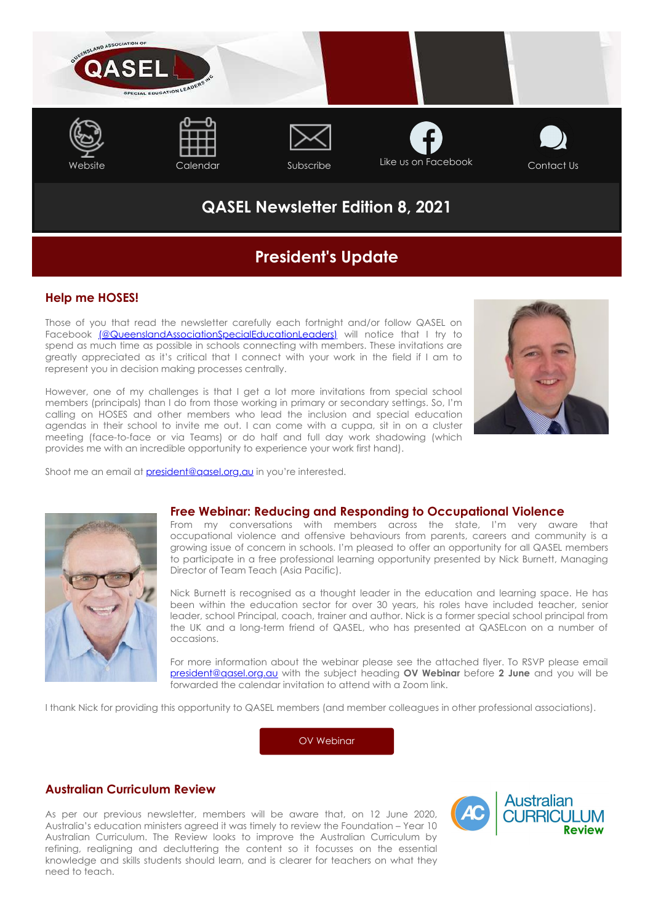

# **QASEL Newsletter Edition 8, 2021**

# **President's Update**

## **Help me HOSES!**

Those of you that read the newsletter carefully each fortnight and/or follow QASEL on Facebook [\(@QueenslandAssociationSpecialEducationLeaders\)](https://www.facebook.com/QueenslandAssociationSpecialEducationLeaders) will notice that I try to spend as much time as possible in schools connecting with members. These invitations are greatly appreciated as it's critical that I connect with your work in the field if I am to represent you in decision making processes centrally.

However, one of my challenges is that I get a lot more invitations from special school members (principals) than I do from those working in primary or secondary settings. So, I'm calling on HOSES and other members who lead the inclusion and special education agendas in their school to invite me out. I can come with a cuppa, sit in on a cluster meeting (face-to-face or via Teams) or do half and full day work shadowing (which provides me with an incredible opportunity to experience your work first hand).



Shoot me an email at [president@qasel.org.au](mailto:president@qasel.org.au) in you're interested.



### **Free Webinar: Reducing and Responding to Occupational Violence**

From my conversations with members across the state, I'm very aware that occupational violence and offensive behaviours from parents, careers and community is a growing issue of concern in schools. I'm pleased to offer an opportunity for all QASEL members to participate in a free professional learning opportunity presented by Nick Burnett, Managing Director of Team Teach (Asia Pacific).

Nick Burnett is recognised as a thought leader in the education and learning space. He has been within the education sector for over 30 years, his roles have included teacher, senior leader, school Principal, coach, trainer and author. Nick is a former special school principal from the UK and a long-term friend of QASEL, who has presented at QASELcon on a number of occasions.

For more information about the webinar please see the attached flyer. To RSVP please email [president@qasel.org.au](mailto:president@qasel.org.au) with the subject heading **OV Webinar** before **2 June** and you will be forwarded the calendar invitation to attend with a Zoom link.

I thank Nick for providing this opportunity to QASEL members (and member colleagues in other professional associations).

[OV Webinar](https://cdn-au.mailsnd.com/81048/kwCv8oHZma5uk7ykb6Gq2ensEcXcnAGm-YGe-Rv6_AY/3431951.pdf)

## **Australian Curriculum Review**

As per our previous newsletter, members will be aware that, on 12 June 2020, Australia's education ministers agreed it was timely to review the Foundation – Year 10 Australian Curriculum. The Review looks to improve the Australian Curriculum by refining, realigning and decluttering the content so it focusses on the essential knowledge and skills students should learn, and is clearer for teachers on what they need to teach.

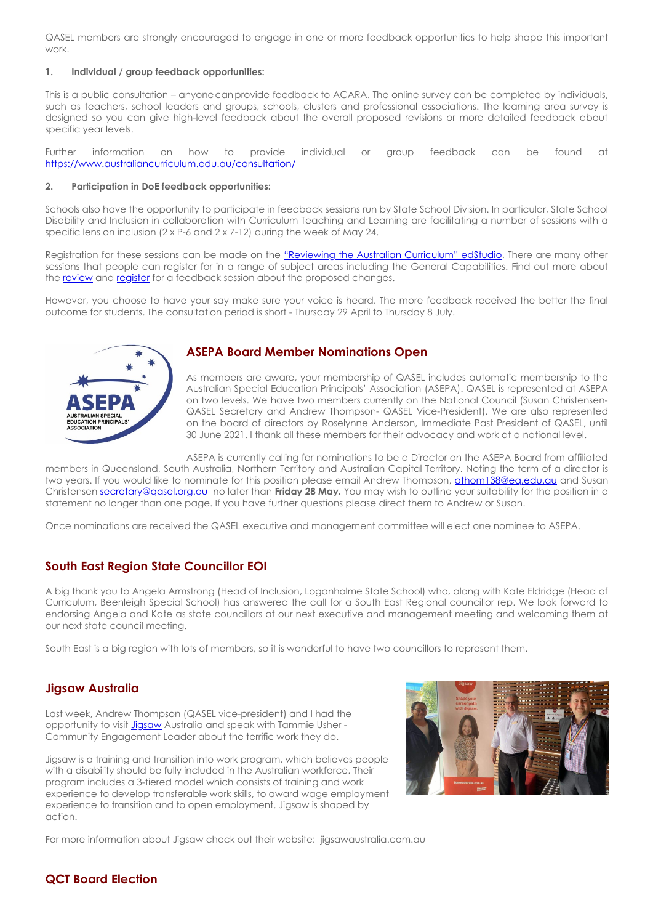QASEL members are strongly encouraged to engage in one or more feedback opportunities to help shape this important work.

#### **1. Individual / group feedback opportunities:**

This is a public consultation – anyone can provide feedback to ACARA. The online survey can be completed by individuals, such as teachers, school leaders and groups, schools, clusters and professional associations. The learning area survey is designed so you can give high-level feedback about the overall proposed revisions or more detailed feedback about specific year levels.

Further information on how to provide individual or group feedback can be found at <https://www.australiancurriculum.edu.au/consultation/>

#### **2. Participation in DoE feedback opportunities:**

Schools also have the opportunity to participate in feedback sessions run by State School Division. In particular, State School Disability and Inclusion in collaboration with Curriculum Teaching and Learning are facilitating a number of sessions with a specific lens on inclusion (2 x P-6 and 2 x 7-12) during the week of May 24.

Registration for these sessions can be made on the ["Reviewing the Australian Curriculum" edStudio.](https://staff.learningplace.eq.edu.au/lp/pages/default.aspx?pid=2512871) There are many other sessions that people can register for in a range of subject areas including the General Capabilities. Find out more about the [review](https://staff.learningplace.eq.edu.au/lp/pages/default.aspx?pid=2512871) and [register](https://staff.learningplace.eq.edu.au/lp/pages/default.aspx?pid=2512873) for a feedback session about the proposed changes.

However, you choose to have your say make sure your voice is heard. The more feedback received the better the final outcome for students. The consultation period is short - Thursday 29 April to Thursday 8 July.



### **ASEPA Board Member Nominations Open**

As members are aware, your membership of QASEL includes automatic membership to the Australian Special Education Principals' Association (ASEPA). QASEL is represented at ASEPA on two levels. We have two members currently on the National Council (Susan Christensen-QASEL Secretary and Andrew Thompson- QASEL Vice-President). We are also represented on the board of directors by Roselynne Anderson, Immediate Past President of QASEL, until 30 June 2021. I thank all these members for their advocacy and work at a national level.

ASEPA is currently calling for nominations to be a Director on the ASEPA Board from affiliated members in Queensland, South Australia, Northern Territory and Australian Capital Territory. Noting the term of a director is two years. If you would like to nominate for this position please email Andrew Thompson, [athom138@eq.edu.au](mailto:athom138@eq.edu.au) and Susan Christensen [secretary@qasel.org.au](mailto:secretary@qasel.org.au) no later than **Friday 28 May.** You may wish to outline your suitability for the position in a statement no longer than one page. If you have further questions please direct them to Andrew or Susan.

Once nominations are received the QASEL executive and management committee will elect one nominee to ASEPA.

# **South East Region State Councillor EOI**

A big thank you to Angela Armstrong (Head of Inclusion, Loganholme State School) who, along with Kate Eldridge (Head of Curriculum, Beenleigh Special School) has answered the call for a South East Regional councillor rep. We look forward to endorsing Angela and Kate as state councillors at our next executive and management meeting and welcoming them at our next state council meeting.

South East is a big region with lots of members, so it is wonderful to have two councillors to represent them.

### **Jigsaw Australia**

Last week, Andrew Thompson (QASEL vice-president) and I had the opportunity to visit *[Jigsaw](https://www.facebook.com/JigsawAus/?__cft__%5b0%5d=AZVQERc2ZmkNR5TPta0XkQdPLmEIXYnu2Gwpqhj1b7wFTEBRFu1qvWdQ0VWjDM9PnVgx050e6WG0MBdhduvHUCEBjGaFMBqaSsuDSJT54U66m1DBI1AFXMxDQTAslRfA6c4pBr6NfBwk2N3WtTIJM9y44CsRXZ1hPaED1_KXGTMpNs5wtIEg4SDRG1-W2vtKEyQ&__tn__=kK-R)* Australia and speak with Tammie Usher -Community Engagement Leader about the terrific work they do.

Jigsaw is a training and transition into work program, which believes people with a disability should be fully included in the Australian workforce. Their program includes a 3-tiered model which consists of training and work experience to develop transferable work skills, to award wage employment experience to transition and to open employment. Jigsaw is shaped by action.



For more information about Jigsaw check out their website: jigsawaustralia.com.au

# **QCT Board Election**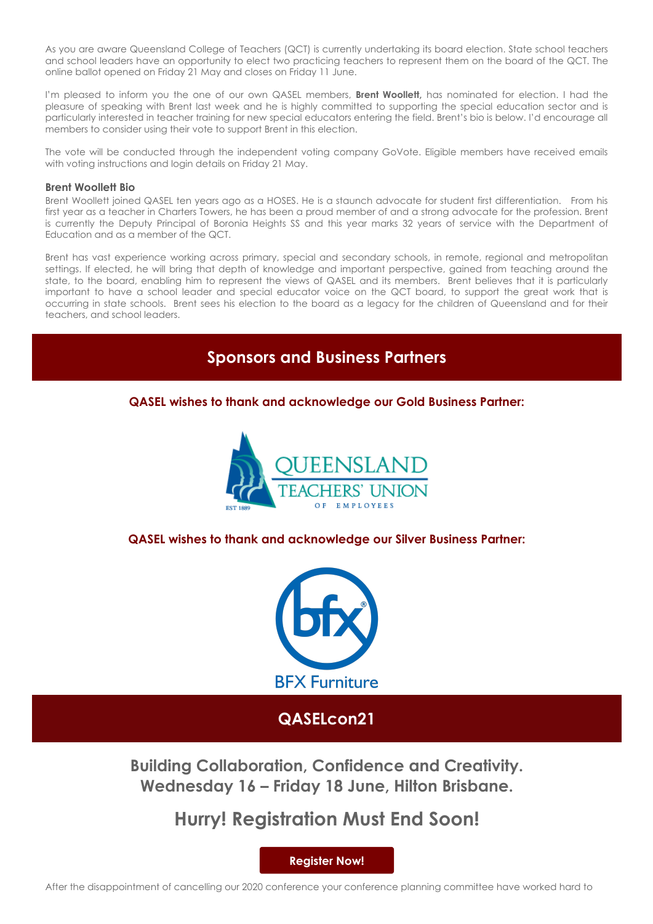As you are aware Queensland College of Teachers (QCT) is currently undertaking its board election. State school teachers and school leaders have an opportunity to elect two practicing teachers to represent them on the board of the QCT. The online ballot opened on Friday 21 May and closes on Friday 11 June.

I'm pleased to inform you the one of our own QASEL members, **Brent Woollett,** has nominated for election. I had the pleasure of speaking with Brent last week and he is highly committed to supporting the special education sector and is particularly interested in teacher training for new special educators entering the field. Brent's bio is below. I'd encourage all members to consider using their vote to support Brent in this election.

The vote will be conducted through the independent voting company GoVote. Eligible members have received emails with voting instructions and login details on Friday 21 May.

#### **Brent Woollett Bio**

Brent Woollett joined QASEL ten years ago as a HOSES. He is a staunch advocate for student first differentiation. From his first year as a teacher in Charters Towers, he has been a proud member of and a strong advocate for the profession. Brent is currently the Deputy Principal of Boronia Heights SS and this year marks 32 years of service with the Department of Education and as a member of the QCT.

Brent has vast experience working across primary, special and secondary schools, in remote, regional and metropolitan settings. If elected, he will bring that depth of knowledge and important perspective, gained from teaching around the state, to the board, enabling him to represent the views of QASEL and its members. Brent believes that it is particularly important to have a school leader and special educator voice on the QCT board, to support the great work that is occurring in state schools. Brent sees his election to the board as a legacy for the children of Queensland and for their teachers, and school leaders.

# **Sponsors and Business Partners**

## **QASEL wishes to thank and acknowledge our Gold Business Partner:**



**QASEL wishes to thank and acknowledge our Silver Business Partner:**



# **QASELcon21**

**Building Collaboration, Confidence and Creativity. Wednesday 16 – Friday 18 June, Hilton Brisbane.**

# **Hurry! Registration Must End Soon!**

**[Register Now!](https://web.cvent.com/event/b7f5295b-b05e-4eef-83a1-d60351b612b4/summary)**

After the disappointment of cancelling our 2020 conference your conference planning committee have worked hard to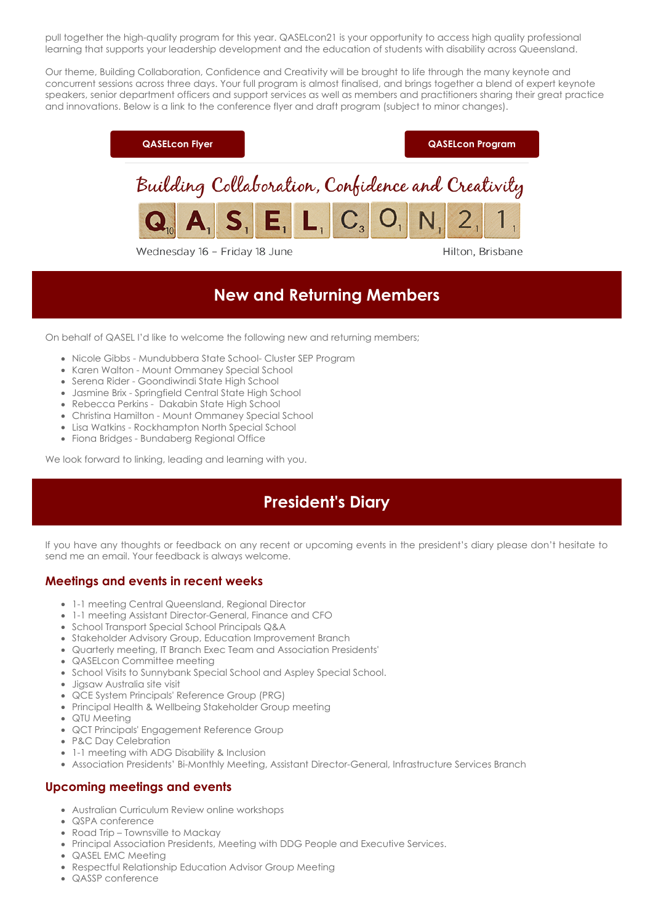pull together the high-quality program for this year. QASELcon21 is your opportunity to access high quality professional learning that supports your leadership development and the education of students with disability across Queensland.

Our theme, Building Collaboration, Confidence and Creativity will be brought to life through the many keynote and concurrent sessions across three days. Your full program is almost finalised, and brings together a blend of expert keynote speakers, senior department officers and support services as well as members and practitioners sharing their great practice and innovations. Below is a link to the conference flyer and draft program (subject to minor changes).



Wednesday 16 - Friday 18 June

Hilton, Brisbane

# **New and Returning Members**

On behalf of QASEL I'd like to welcome the following new and returning members;

- Nicole Gibbs Mundubbera State School- Cluster SEP Program
- Karen Walton Mount Ommaney Special School
- Serena Rider Goondiwindi State High School
- Jasmine Brix Springfield Central State High School
- Rebecca Perkins Dakabin State High School
- Christina Hamilton Mount Ommaney Special School
- Lisa Watkins Rockhampton North Special School
- Fiona Bridges Bundaberg Regional Office

We look forward to linking, leading and learning with you.

# **President's Diary**

If you have any thoughts or feedback on any recent or upcoming events in the president's diary please don't hesitate to send me an email. Your feedback is always welcome.

## **Meetings and events in recent weeks**

- 1-1 meeting Central Queensland, Regional Director
- 1-1 meeting Assistant Director-General, Finance and CFO
- School Transport Special School Principals Q&A
- Stakeholder Advisory Group, Education Improvement Branch
- Quarterly meeting, IT Branch Exec Team and Association Presidents'
- QASELcon Committee meeting
- School Visits to Sunnybank Special School and Aspley Special School.
- Jigsaw Australia site visit
- QCE System Principals' Reference Group (PRG)
- Principal Health & Wellbeing Stakeholder Group meeting
- QTU Meeting
- QCT Principals' Engagement Reference Group
- P&C Day Celebration
- 1-1 meeting with ADG Disability & Inclusion
- Association Presidents' Bi-Monthly Meeting, Assistant Director-General, Infrastructure Services Branch

### **Upcoming meetings and events**

- Australian Curriculum Review online workshops
- QSPA conference
- Road Trip Townsville to Mackay
- Principal Association Presidents, Meeting with DDG People and Executive Services.
- QASEL EMC Meeting
- Respectful Relationship Education Advisor Group Meeting
- QASSP conference